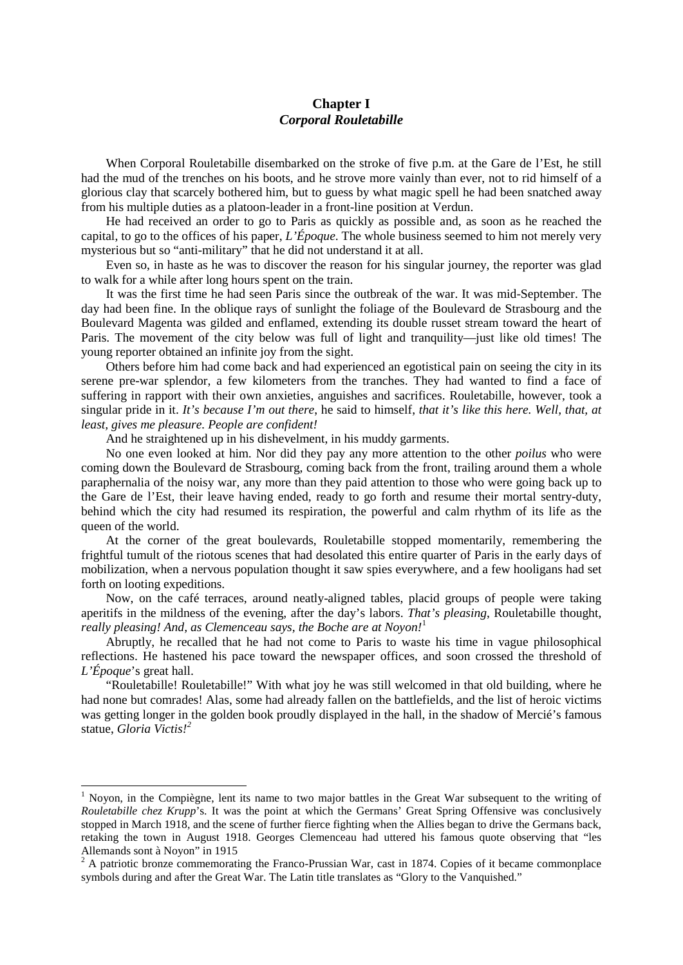## **Chapter I** *Corporal Rouletabille*

When Corporal Rouletabille disembarked on the stroke of five p.m. at the Gare de l'Est, he still had the mud of the trenches on his boots, and he strove more vainly than ever, not to rid himself of a glorious clay that scarcely bothered him, but to guess by what magic spell he had been snatched away from his multiple duties as a platoon-leader in a front-line position at Verdun.

He had received an order to go to Paris as quickly as possible and, as soon as he reached the capital, to go to the offices of his paper, *L'Époque*. The whole business seemed to him not merely very mysterious but so "anti-military" that he did not understand it at all.

Even so, in haste as he was to discover the reason for his singular journey, the reporter was glad to walk for a while after long hours spent on the train.

It was the first time he had seen Paris since the outbreak of the war. It was mid-September. The day had been fine. In the oblique rays of sunlight the foliage of the Boulevard de Strasbourg and the Boulevard Magenta was gilded and enflamed, extending its double russet stream toward the heart of Paris. The movement of the city below was full of light and tranquility—just like old times! The young reporter obtained an infinite joy from the sight.

Others before him had come back and had experienced an egotistical pain on seeing the city in its serene pre-war splendor, a few kilometers from the tranches. They had wanted to find a face of suffering in rapport with their own anxieties, anguishes and sacrifices. Rouletabille, however, took a singular pride in it. *It's because I'm out there*, he said to himself, *that it's like this here. Well, that, at least, gives me pleasure. People are confident!*

And he straightened up in his dishevelment, in his muddy garments.

No one even looked at him. Nor did they pay any more attention to the other *poilus* who were coming down the Boulevard de Strasbourg, coming back from the front, trailing around them a whole paraphernalia of the noisy war, any more than they paid attention to those who were going back up to the Gare de l'Est, their leave having ended, ready to go forth and resume their mortal sentry-duty, behind which the city had resumed its respiration, the powerful and calm rhythm of its life as the queen of the world.

At the corner of the great boulevards, Rouletabille stopped momentarily, remembering the frightful tumult of the riotous scenes that had desolated this entire quarter of Paris in the early days of mobilization, when a nervous population thought it saw spies everywhere, and a few hooligans had set forth on looting expeditions.

Now, on the café terraces, around neatly-aligned tables, placid groups of people were taking aperitifs in the mildness of the evening, after the day's labors. *That's pleasing*, Rouletabille thought, *really pleasing! And, as Clemenceau says, the Boche are at Noyon!* 

Abruptly, he recalled that he had not come to Paris to waste his time in vague philosophical reflections. He hastened his pace toward the newspaper offices, and soon crossed the threshold of *L'Époque*'s great hall.

"Rouletabille! Rouletabille!" With what joy he was still welcomed in that old building, where he had none but comrades! Alas, some had already fallen on the battlefields, and the list of heroic victims was getting longer in the golden book proudly displayed in the hall, in the shadow of Mercié's famous statue, *Gloria Victis![2](#page-0-1)*

<span id="page-0-0"></span><sup>&</sup>lt;sup>1</sup> Novon, in the Compiègne, lent its name to two major battles in the Great War subsequent to the writing of *Rouletabille chez Krupp*'s. It was the point at which the Germans' Great Spring Offensive was conclusively stopped in March 1918, and the scene of further fierce fighting when the Allies began to drive the Germans back, retaking the town in August 1918. Georges Clemenceau had uttered his famous quote observing that "les Allemands sont à Noyon" in 1915

<span id="page-0-1"></span> $2$  A patriotic bronze commemorating the Franco-Prussian War, cast in 1874. Copies of it became commonplace symbols during and after the Great War. The Latin title translates as "Glory to the Vanquished."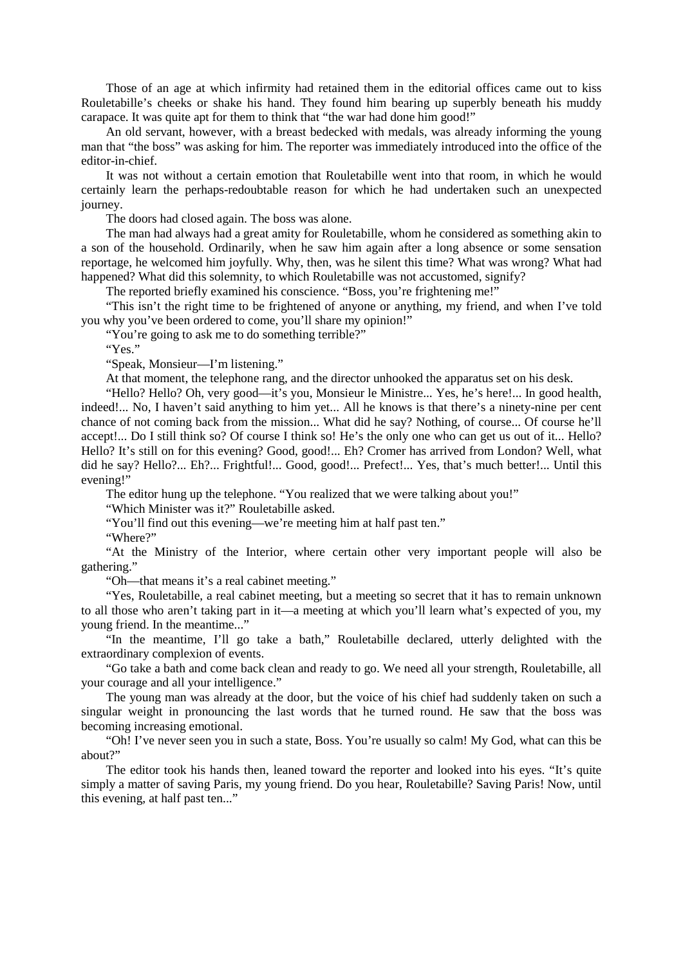Those of an age at which infirmity had retained them in the editorial offices came out to kiss Rouletabille's cheeks or shake his hand. They found him bearing up superbly beneath his muddy carapace. It was quite apt for them to think that "the war had done him good!"

An old servant, however, with a breast bedecked with medals, was already informing the young man that "the boss" was asking for him. The reporter was immediately introduced into the office of the editor-in-chief.

It was not without a certain emotion that Rouletabille went into that room, in which he would certainly learn the perhaps-redoubtable reason for which he had undertaken such an unexpected journey.

The doors had closed again. The boss was alone.

The man had always had a great amity for Rouletabille, whom he considered as something akin to a son of the household. Ordinarily, when he saw him again after a long absence or some sensation reportage, he welcomed him joyfully. Why, then, was he silent this time? What was wrong? What had happened? What did this solemnity, to which Rouletabille was not accustomed, signify?

The reported briefly examined his conscience. "Boss, you're frightening me!"

"This isn't the right time to be frightened of anyone or anything, my friend, and when I've told you why you've been ordered to come, you'll share my opinion!"

"You're going to ask me to do something terrible?"

"Yes."

"Speak, Monsieur—I'm listening."

At that moment, the telephone rang, and the director unhooked the apparatus set on his desk.

"Hello? Hello? Oh, very good—it's you, Monsieur le Ministre... Yes, he's here!... In good health, indeed!... No, I haven't said anything to him yet... All he knows is that there's a ninety-nine per cent chance of not coming back from the mission... What did he say? Nothing, of course... Of course he'll accept!... Do I still think so? Of course I think so! He's the only one who can get us out of it... Hello? Hello? It's still on for this evening? Good, good!... Eh? Cromer has arrived from London? Well, what did he say? Hello?... Eh?... Frightful!... Good, good!... Prefect!... Yes, that's much better!... Until this evening!"

The editor hung up the telephone. "You realized that we were talking about you!"

"Which Minister was it?" Rouletabille asked.

"You'll find out this evening—we're meeting him at half past ten."

"Where?"

"At the Ministry of the Interior, where certain other very important people will also be gathering."

"Oh—that means it's a real cabinet meeting."

"Yes, Rouletabille, a real cabinet meeting, but a meeting so secret that it has to remain unknown to all those who aren't taking part in it—a meeting at which you'll learn what's expected of you, my young friend. In the meantime..."

"In the meantime, I'll go take a bath," Rouletabille declared, utterly delighted with the extraordinary complexion of events.

"Go take a bath and come back clean and ready to go. We need all your strength, Rouletabille, all your courage and all your intelligence."

The young man was already at the door, but the voice of his chief had suddenly taken on such a singular weight in pronouncing the last words that he turned round. He saw that the boss was becoming increasing emotional.

"Oh! I've never seen you in such a state, Boss. You're usually so calm! My God, what can this be about?"

The editor took his hands then, leaned toward the reporter and looked into his eyes. "It's quite simply a matter of saving Paris, my young friend. Do you hear, Rouletabille? Saving Paris! Now, until this evening, at half past ten..."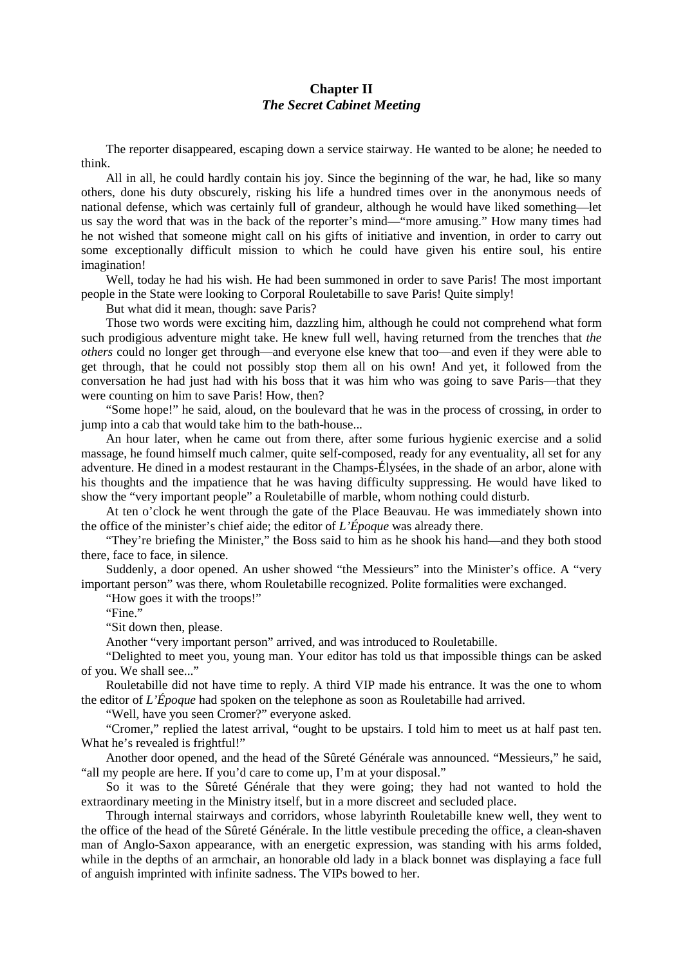## **Chapter II** *The Secret Cabinet Meeting*

The reporter disappeared, escaping down a service stairway. He wanted to be alone; he needed to think.

All in all, he could hardly contain his joy. Since the beginning of the war, he had, like so many others, done his duty obscurely, risking his life a hundred times over in the anonymous needs of national defense, which was certainly full of grandeur, although he would have liked something—let us say the word that was in the back of the reporter's mind—"more amusing." How many times had he not wished that someone might call on his gifts of initiative and invention, in order to carry out some exceptionally difficult mission to which he could have given his entire soul, his entire imagination!

Well, today he had his wish. He had been summoned in order to save Paris! The most important people in the State were looking to Corporal Rouletabille to save Paris! Quite simply!

But what did it mean, though: save Paris?

Those two words were exciting him, dazzling him, although he could not comprehend what form such prodigious adventure might take. He knew full well, having returned from the trenches that *the others* could no longer get through—and everyone else knew that too—and even if they were able to get through, that he could not possibly stop them all on his own! And yet, it followed from the conversation he had just had with his boss that it was him who was going to save Paris—that they were counting on him to save Paris! How, then?

"Some hope!" he said, aloud, on the boulevard that he was in the process of crossing, in order to jump into a cab that would take him to the bath-house...

An hour later, when he came out from there, after some furious hygienic exercise and a solid massage, he found himself much calmer, quite self-composed, ready for any eventuality, all set for any adventure. He dined in a modest restaurant in the Champs-Élysées, in the shade of an arbor, alone with his thoughts and the impatience that he was having difficulty suppressing. He would have liked to show the "very important people" a Rouletabille of marble, whom nothing could disturb.

At ten o'clock he went through the gate of the Place Beauvau. He was immediately shown into the office of the minister's chief aide; the editor of *L'Époque* was already there.

"They're briefing the Minister," the Boss said to him as he shook his hand—and they both stood there, face to face, in silence.

Suddenly, a door opened. An usher showed "the Messieurs" into the Minister's office. A "very important person" was there, whom Rouletabille recognized. Polite formalities were exchanged.

"How goes it with the troops!"

"Fine."

"Sit down then, please.

Another "very important person" arrived, and was introduced to Rouletabille.

"Delighted to meet you, young man. Your editor has told us that impossible things can be asked of you. We shall see..."

Rouletabille did not have time to reply. A third VIP made his entrance. It was the one to whom the editor of *L'Époque* had spoken on the telephone as soon as Rouletabille had arrived.

"Well, have you seen Cromer?" everyone asked.

"Cromer," replied the latest arrival, "ought to be upstairs. I told him to meet us at half past ten. What he's revealed is frightful!"

Another door opened, and the head of the Sûreté Générale was announced. "Messieurs," he said, "all my people are here. If you'd care to come up, I'm at your disposal."

So it was to the Sûreté Générale that they were going; they had not wanted to hold the extraordinary meeting in the Ministry itself, but in a more discreet and secluded place.

Through internal stairways and corridors, whose labyrinth Rouletabille knew well, they went to the office of the head of the Sûreté Générale. In the little vestibule preceding the office, a clean-shaven man of Anglo-Saxon appearance, with an energetic expression, was standing with his arms folded, while in the depths of an armchair, an honorable old lady in a black bonnet was displaying a face full of anguish imprinted with infinite sadness. The VIPs bowed to her.